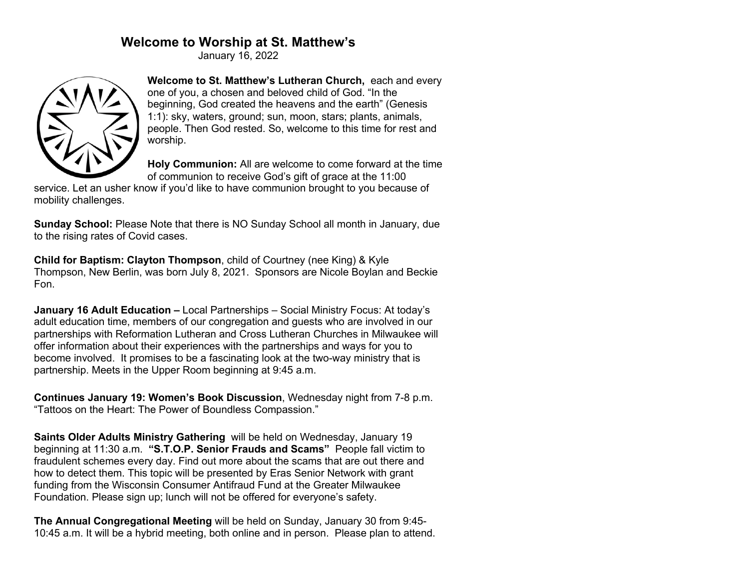# **Welcome to Worship at St. Matthew's**

January 16, 2022



**Welcome to St. Matthew's Lutheran Church,** each and every one of you, a chosen and beloved child of God. "In the beginning, God created the heavens and the earth" (Genesis 1:1): sky, waters, ground; sun, moon, stars; plants, animals, people. Then God rested. So, welcome to this time for rest and worship.

**Holy Communion:** All are welcome to come forward at the time of communion to receive God's gift of grace at the 11:00

service. Let an usher know if you'd like to have communion brought to you because of mobility challenges.

**Sunday School:** Please Note that there is NO Sunday School all month in January, due to the rising rates of Covid cases.

**Child for Baptism: Clayton Thompson**, child of Courtney (nee King) & Kyle Thompson, New Berlin, was born July 8, 2021. Sponsors are Nicole Boylan and Beckie Fon.

**January 16 Adult Education –** Local Partnerships – Social Ministry Focus: At today's adult education time, members of our congregation and guests who are involved in our partnerships with Reformation Lutheran and Cross Lutheran Churches in Milwaukee will offer information about their experiences with the partnerships and ways for you to become involved. It promises to be a fascinating look at the two-way ministry that is partnership. Meets in the Upper Room beginning at 9:45 a.m.

**Continues January 19: Women's Book Discussion**, Wednesday night from 7-8 p.m. "Tattoos on the Heart: The Power of Boundless Compassion."

**Saints Older Adults Ministry Gathering** will be held on Wednesday, January 19 beginning at 11:30 a.m. **"S.T.O.P. Senior Frauds and Scams"** People fall victim to fraudulent schemes every day. Find out more about the scams that are out there and how to detect them. This topic will be presented by Eras Senior Network with grant funding from the Wisconsin Consumer Antifraud Fund at the Greater Milwaukee Foundation. Please sign up; lunch will not be offered for everyone's safety.

**The Annual Congregational Meeting** will be held on Sunday, January 30 from 9:45- 10:45 a.m. It will be a hybrid meeting, both online and in person. Please plan to attend.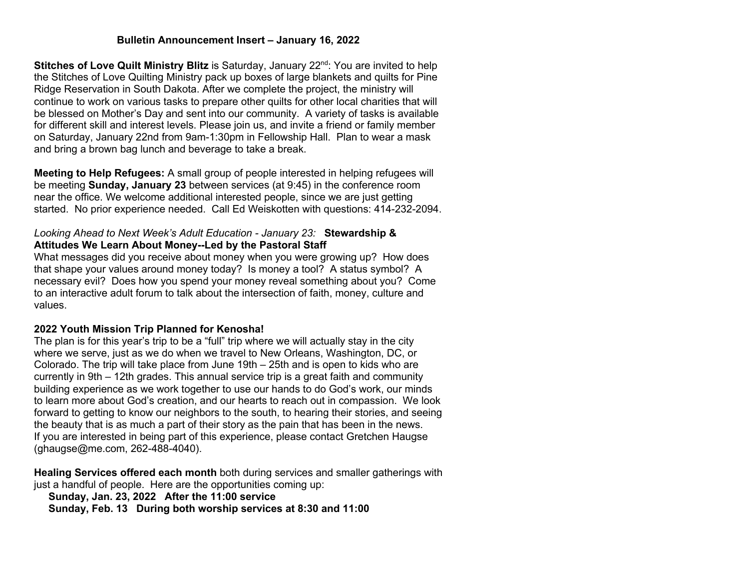## **Bulletin Announcement Insert – January 16, 2022**

**Stitches of Love Quilt Ministry Blitz** is Saturday, January 22<sup>nd</sup>: You are invited to help the Stitches of Love Quilting Ministry pack up boxes of large blankets and quilts for Pine Ridge Reservation in South Dakota. After we complete the project, the ministry will continue to work on various tasks to prepare other quilts for other local charities that will be blessed on Mother's Day and sent into our community. A variety of tasks is available for different skill and interest levels. Please join us, and invite a friend or family member on Saturday, January 22nd from 9am-1:30pm in Fellowship Hall. Plan to wear a mask and bring a brown bag lunch and beverage to take a break.

**Meeting to Help Refugees:** A small group of people interested in helping refugees will be meeting **Sunday, January 23** between services (at 9:45) in the conference room near the office. We welcome additional interested people, since we are just getting started. No prior experience needed. Call Ed Weiskotten with questions: 414-232-2094.

## *Looking Ahead to Next Week's Adult Education - January 23:* **Stewardship & Attitudes We Learn About Money--Led by the Pastoral Staff**

What messages did you receive about money when you were growing up? How does that shape your values around money today? Is money a tool? A status symbol? A necessary evil? Does how you spend your money reveal something about you? Come to an interactive adult forum to talk about the intersection of faith, money, culture and values.

#### **2022 Youth Mission Trip Planned for Kenosha!**

The plan is for this year's trip to be a "full" trip where we will actually stay in the city where we serve, just as we do when we travel to New Orleans, Washington, DC, or Colorado. The trip will take place from June 19th – 25th and is open to kids who are currently in 9th – 12th grades. This annual service trip is a great faith and community building experience as we work together to use our hands to do God's work, our minds to learn more about God's creation, and our hearts to reach out in compassion. We look forward to getting to know our neighbors to the south, to hearing their stories, and seeing the beauty that is as much a part of their story as the pain that has been in the news. If you are interested in being part of this experience, please contact Gretchen Haugse (ghaugse@me.com, 262-488-4040).

**Healing Services offered each month** both during services and smaller gatherings with just a handful of people. Here are the opportunities coming up:

 **Sunday, Jan. 23, 2022 After the 11:00 service**

 **Sunday, Feb. 13 During both worship services at 8:30 and 11:00**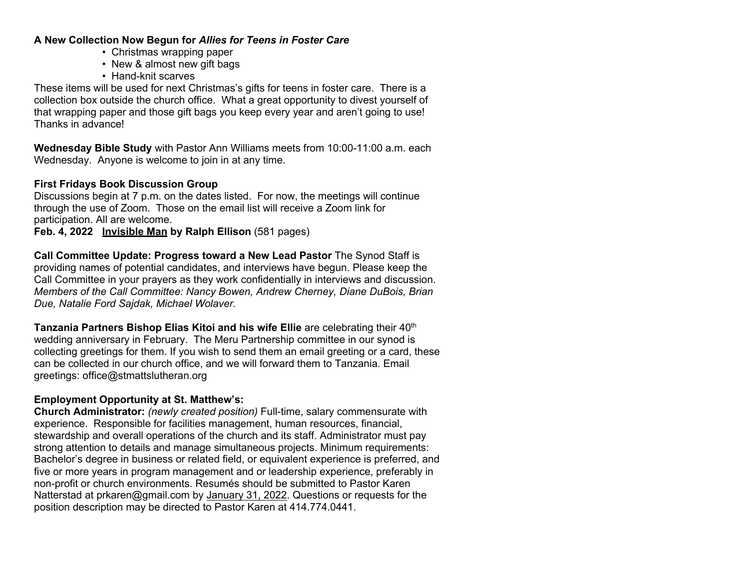## **A New Collection Now Begun for** *Allies for Teens in Foster Care*

- Christmas wrapping paper
- New & almost new gift bags
- Hand-knit scarves

These items will be used for next Christmas's gifts for teens in foster care. There is a collection box outside the church office. What a great opportunity to divest yourself of that wrapping paper and those gift bags you keep every year and aren't going to use! Thanks in advance!

**Wednesday Bible Study** with Pastor Ann Williams meets from 10:00-11:00 a.m. each Wednesday. Anyone is welcome to join in at any time.

## **First Fridays Book Discussion Group**

Discussions begin at 7 p.m. on the dates listed. For now, the meetings will continue through the use of Zoom. Those on the email list will receive a Zoom link for participation. All are welcome.

**Feb. 4, 2022 Invisible Man by Ralph Ellison** (581 pages)

**Call Committee Update: Progress toward a New Lead Pastor** The Synod Staff is providing names of potential candidates, and interviews have begun. Please keep the Call Committee in your prayers as they work confidentially in interviews and discussion. *Members of the Call Committee: Nancy Bowen, Andrew Cherney, Diane DuBois, Brian Due, Natalie Ford Sajdak, Michael Wolaver.*

**Tanzania Partners Bishop Elias Kitoi and his wife Ellie** are celebrating their 40th wedding anniversary in February. The Meru Partnership committee in our synod is collecting greetings for them. If you wish to send them an email greeting or a card, these can be collected in our church office, and we will forward them to Tanzania. Email greetings: office@stmattslutheran.org

## **Employment Opportunity at St. Matthew's:**

**Church Administrator:** *(newly created position)* Full-time, salary commensurate with experience. Responsible for facilities management, human resources, financial, stewardship and overall operations of the church and its staff. Administrator must pay strong attention to details and manage simultaneous projects. Minimum requirements: Bachelor's degree in business or related field, or equivalent experience is preferred, and five or more years in program management and or leadership experience, preferably in non-profit or church environments. Resumés should be submitted to Pastor Karen Natterstad at prkaren@gmail.com by January 31, 2022. Questions or requests for the position description may be directed to Pastor Karen at 414.774.0441.